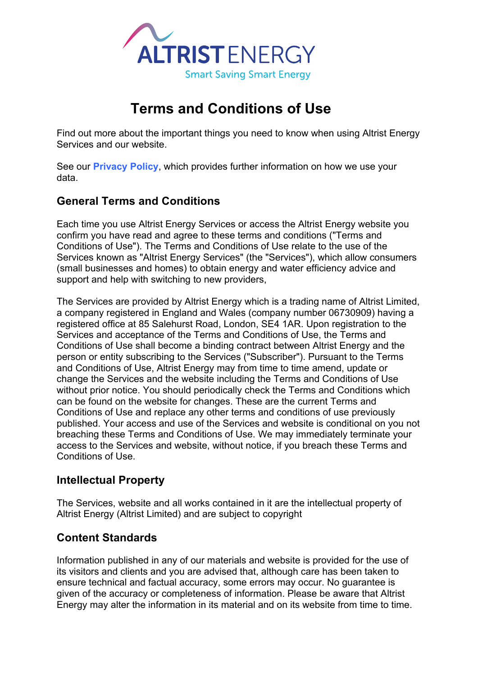

# **Terms and Conditions of Use**

Find out more about the important things you need to know when using Altrist Energy Services and our website.

See our **Privacy Policy**, which provides further information on how we use your data.

## **General Terms and Conditions**

Each time you use Altrist Energy Services or access the Altrist Energy website you confirm you have read and agree to these terms and conditions ("Terms and Conditions of Use"). The Terms and Conditions of Use relate to the use of the Services known as "Altrist Energy Services" (the "Services"), which allow consumers (small businesses and homes) to obtain energy and water efficiency advice and support and help with switching to new providers,

The Services are provided by Altrist Energy which is a trading name of Altrist Limited, a company registered in England and Wales (company number 06730909) having a registered office at 85 Salehurst Road, London, SE4 1AR. Upon registration to the Services and acceptance of the Terms and Conditions of Use, the Terms and Conditions of Use shall become a binding contract between Altrist Energy and the person or entity subscribing to the Services ("Subscriber"). Pursuant to the Terms and Conditions of Use, Altrist Energy may from time to time amend, update or change the Services and the website including the Terms and Conditions of Use without prior notice. You should periodically check the Terms and Conditions which can be found on the website for changes. These are the current Terms and Conditions of Use and replace any other terms and conditions of use previously published. Your access and use of the Services and website is conditional on you not breaching these Terms and Conditions of Use. We may immediately terminate your access to the Services and website, without notice, if you breach these Terms and Conditions of Use.

#### **Intellectual Property**

The Services, website and all works contained in it are the intellectual property of Altrist Energy (Altrist Limited) and are subject to copyright

## **Content Standards**

Information published in any of our materials and website is provided for the use of its visitors and clients and you are advised that, although care has been taken to ensure technical and factual accuracy, some errors may occur. No guarantee is given of the accuracy or completeness of information. Please be aware that Altrist Energy may alter the information in its material and on its website from time to time.